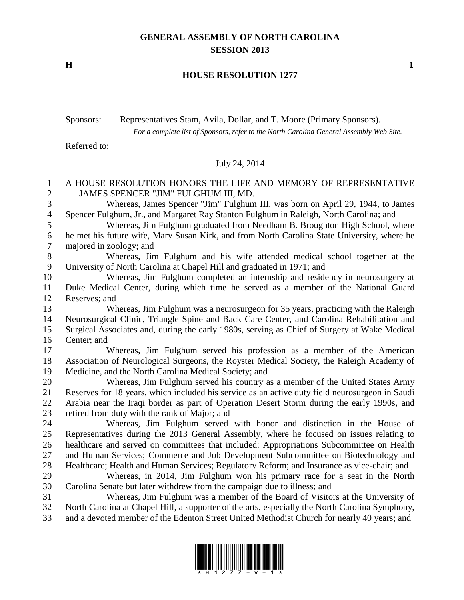## **GENERAL ASSEMBLY OF NORTH CAROLINA SESSION 2013**

**H 1**

## **HOUSE RESOLUTION 1277**

| Sponsors: | Representatives Stam, Avila, Dollar, and T. Moore (Primary Sponsors).                   |
|-----------|-----------------------------------------------------------------------------------------|
|           | For a complete list of Sponsors, refer to the North Carolina General Assembly Web Site. |

Referred to: July 24, 2014 A HOUSE RESOLUTION HONORS THE LIFE AND MEMORY OF REPRESENTATIVE JAMES SPENCER "JIM" FULGHUM III, MD. Whereas, James Spencer "Jim" Fulghum III, was born on April 29, 1944, to James Spencer Fulghum, Jr., and Margaret Ray Stanton Fulghum in Raleigh, North Carolina; and Whereas, Jim Fulghum graduated from Needham B. Broughton High School, where he met his future wife, Mary Susan Kirk, and from North Carolina State University, where he majored in zoology; and Whereas, Jim Fulghum and his wife attended medical school together at the University of North Carolina at Chapel Hill and graduated in 1971; and Whereas, Jim Fulghum completed an internship and residency in neurosurgery at Duke Medical Center, during which time he served as a member of the National Guard Reserves; and Whereas, Jim Fulghum was a neurosurgeon for 35 years, practicing with the Raleigh Neurosurgical Clinic, Triangle Spine and Back Care Center, and Carolina Rehabilitation and Surgical Associates and, during the early 1980s, serving as Chief of Surgery at Wake Medical Center; and Whereas, Jim Fulghum served his profession as a member of the American Association of Neurological Surgeons, the Royster Medical Society, the Raleigh Academy of Medicine, and the North Carolina Medical Society; and Whereas, Jim Fulghum served his country as a member of the United States Army Reserves for 18 years, which included his service as an active duty field neurosurgeon in Saudi Arabia near the Iraqi border as part of Operation Desert Storm during the early 1990s, and retired from duty with the rank of Major; and Whereas, Jim Fulghum served with honor and distinction in the House of Representatives during the 2013 General Assembly, where he focused on issues relating to healthcare and served on committees that included: Appropriations Subcommittee on Health and Human Services; Commerce and Job Development Subcommittee on Biotechnology and Healthcare; Health and Human Services; Regulatory Reform; and Insurance as vice-chair; and Whereas, in 2014, Jim Fulghum won his primary race for a seat in the North Carolina Senate but later withdrew from the campaign due to illness; and Whereas, Jim Fulghum was a member of the Board of Visitors at the University of North Carolina at Chapel Hill, a supporter of the arts, especially the North Carolina Symphony, and a devoted member of the Edenton Street United Methodist Church for nearly 40 years; and